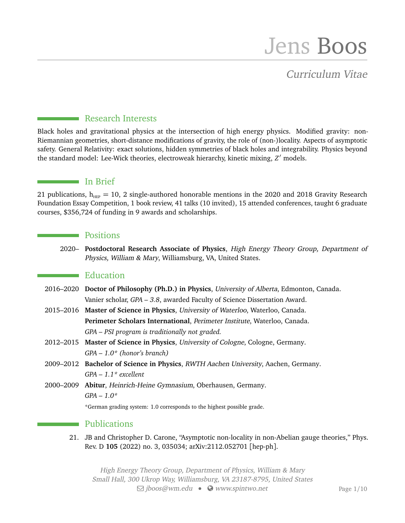# Jens Boos

# Curriculum Vitae

#### Research Interests

Black holes and gravitational physics at the intersection of high energy physics. Modified gravity: non-Riemannian geometries, short-distance modifications of gravity, the role of (non-)locality. Aspects of asymptotic safety. General Relativity: exact solutions, hidden symmetries of black holes and integrability. Physics beyond the standard model: Lee-Wick theories, electroweak hierarchy, kinetic mixing, *Z'* models.

#### **In Brief**

21 publications,  $h_{HP} = 10$ , 2 single-authored honorable mentions in the 2020 and 2018 Gravity Research Foundation Essay Competition, 1 book review, 41 talks (10 invited), 15 attended conferences, taught 6 graduate courses, \$356,724 of funding in 9 awards and scholarships.

#### **Positions**

2020– **Postdoctoral Research Associate of Physics**, High Energy Theory Group, Department of Physics, William & Mary, Williamsburg, VA, United States.

#### $\blacksquare$  Education

- 2016–2020 **Doctor of Philosophy (Ph.D.) in Physics**, University of Alberta, Edmonton, Canada. Vanier scholar, *GPA – 3.8*, awarded Faculty of Science Dissertation Award.
- 2015–2016 **Master of Science in Physics**, University of Waterloo, Waterloo, Canada. **Perimeter Scholars International**, Perimeter Institute, Waterloo, Canada. *GPA – PSI program is traditionally not graded.*
- 2012–2015 **Master of Science in Physics**, University of Cologne, Cologne, Germany. *GPA – 1.0\* (honor's branch)*
- 2009–2012 **Bachelor of Science in Physics**, RWTH Aachen University, Aachen, Germany. *GPA – 1.1\* excellent*
- 2000–2009 **Abitur**, Heinrich-Heine Gymnasium, Oberhausen, Germany. *GPA – 1.0\**

\*German grading system: 1.0 corresponds to the highest possible grade.

## Publications

21. JB and Christopher D. Carone, "Asymptotic non-locality in non-Abelian gauge theories," [Phys.](http://dx.doi.org/10.1103/PhysRevD.105.035034) Rev. D **105** [\(2022\) no. 3, 035034;](http://dx.doi.org/10.1103/PhysRevD.105.035034) [arXiv:2112.052701](http://arxiv.org/abs/2112.05270) [hep-ph].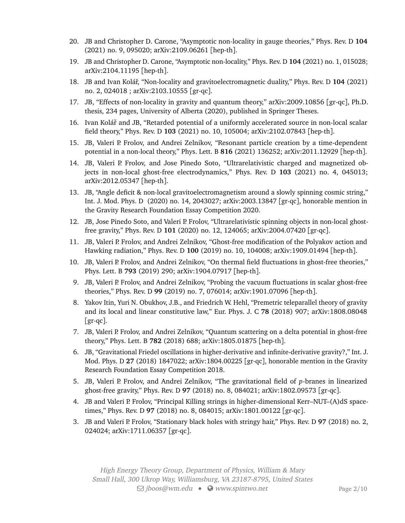- 20. JB and Christopher D. Carone, "Asymptotic non-locality in gauge theories," [Phys. Rev. D](http://dx.doi.org/10.1103/PhysRevD.104.095020) **104** [\(2021\) no. 9, 095020;](http://dx.doi.org/10.1103/PhysRevD.104.095020) [arXiv:2109.06261](http://arxiv.org/abs/2109.06261) [hep-th].
- 19. JB and Christopher D. Carone, "Asymptotic non-locality," Phys. Rev. D **104** [\(2021\) no. 1, 015028;](http://dx.doi.org/10.1103/PhysRevD.104.015028) [arXiv:2104.11195](http://arxiv.org/abs/2104.11195) [hep-th].
- 18. JB and Ivan Koláˇr, "Non-locality and gravitoelectromagnetic duality," [Phys. Rev. D](http://dx.doi.org/10.1103/PhysRevD.104.024018) **104** (2021) [no. 2, 024018 ;](http://dx.doi.org/10.1103/PhysRevD.104.024018) [arXiv:2103.10555](http://arxiv.org/abs/2103.10555) [gr-qc].
- 17. JB, "Effects of non-locality in gravity and quantum theory," [arXiv:2009.10856](http://arxiv.org/abs/2009.10856) [gr-qc], Ph.D. thesis, 234 pages, University of Alberta (2020), published in [Springer Theses.](http://doi.org/10.1007/978-3-030-82910-0)
- 16. Ivan Kolář and JB, "Retarded potential of a uniformly accelerated source in non-local scalar field theory," Phys. Rev. D **103** [\(2021\) no. 10, 105004;](http://dx.doi.org/10.1103/PhysRevD.103.105004) [arXiv:2102.07843](http://arxiv.org/abs/2102.07843) [hep-th].
- 15. JB, Valeri P. Frolov, and Andrei Zelnikov, "Resonant particle creation by a time-dependent potential in a non-local theory," Phys. Lett. B **816** [\(2021\) 136252;](http://dx.doi.org/10.1016/j.physletb.2021.136252) [arXiv:2011.12929](http://arxiv.org/abs/2011.12929) [hep-th].
- 14. JB, Valeri P. Frolov, and Jose Pinedo Soto, "Ultrarelativistic charged and magnetized objects in non-local ghost-free electrodynamics," Phys. Rev. D **103** [\(2021\) no. 4, 045013;](http://dx.doi.org/10.1103/PhysRevD.103.045013) [arXiv:2012.05347](http://arxiv.org/abs/2012.05347) [hep-th].
- 13. JB, "Angle deficit & non-local gravitoelectromagnetism around a slowly spinning cosmic string," [Int. J. Mod. Phys. D \(2020\) no. 14, 2043027;](http://dx.doi.org/10.1142/S0218271820430270) [arXiv:2003.13847](http://arxiv.org/abs/2003.13847) [gr-qc], honorable mention in the [Gravity Research Foundation Essay Competition 2020.](http://www.gravityresearchfoundation.org/)
- 12. JB, Jose Pinedo Soto, and Valeri P. Frolov, "Ultrarelativistic spinning objects in non-local ghostfree gravity," Phys. Rev. D **101** [\(2020\) no. 12, 124065;](http://dx.doi.org/10.1103/PhysRevD.101.124065) [arXiv:2004.07420](http://arxiv.org/abs/2004.07420) [gr-qc].
- 11. JB, Valeri P. Frolov, and Andrei Zelnikov, "Ghost-free modification of the Polyakov action and Hawking radiation," Phys. Rev. D **100** [\(2019\) no. 10, 104008;](http://dx.doi.org/10.1103/PhysRevD.100.104008) [arXiv:1909.01494](http://arxiv.org/abs/1909.01494) [hep-th].
- 10. JB, Valeri P. Frolov, and Andrei Zelnikov, "On thermal field fluctuations in ghost-free theories," [Phys. Lett. B](http://dx.doi.org/10.1016/j.physletb.2019.04.059) **793** (2019) 290; [arXiv:1904.07917](http://arxiv.org/abs/1904.07917) [hep-th].
- 9. JB, Valeri P. Frolov, and Andrei Zelnikov, "Probing the vacuum fluctuations in scalar ghost-free theories," Phys. Rev. D **99** [\(2019\) no. 7, 076014;](http://dx.doi.org/10.1103/PhysRevD.99.076014) [arXiv:1901.07096](http://arxiv.org/abs/1901.07096) [hep-th].
- 8. Yakov Itin, Yuri N. Obukhov, J.B., and Friedrich W. Hehl, "Premetric teleparallel theory of gravity and its local and linear constitutive law," [Eur. Phys. J. C](http://doi.org/10.1140/epjc/s10052-018-6344-5) **78** (2018) 907; [arXiv:1808.08048](http://arxiv.org/abs/1808.08048)  $[gr-qc]$  $[gr-qc]$  $[gr-qc]$ .
- 7. JB, Valeri P. Frolov, and Andrei Zelnikov, "Quantum scattering on a delta potential in ghost-free theory," [Phys. Lett. B](http://dx.doi.org/10.1016/j.physletb.2018.06.018) **782** (2018) 688; [arXiv:1805.01875](http://arxiv.org/abs/1805.01875) [hep-th].
- 6. JB, "Gravitational Friedel oscillations in higher-derivative and infinite-derivative gravity?," [Int. J.](http://dx.doi.org/10.1142/S0218271818470223) Mod. Phys. D **27** [\(2018\) 1847022;](http://dx.doi.org/10.1142/S0218271818470223) [arXiv:1804.00225](http://arxiv.org/abs/1804.00225) [gr-qc], honorable mention in the [Gravity](http://www.gravityresearchfoundation.org/) [Research Foundation Essay Competition 2018.](http://www.gravityresearchfoundation.org/)
- 5. JB, Valeri P. Frolov, and Andrei Zelnikov, "The gravitational field of *p*-branes in linearized ghost-free gravity," Phys. Rev. D **97** [\(2018\) no. 8, 084021;](http://dx.doi.org/10.1103/PhysRevD.97.084021) [arXiv:1802.09573](http://arxiv.org/abs/1802.09573) [gr-qc].
- 4. JB and Valeri P. Frolov, "Principal Killing strings in higher-dimensional Kerr–NUT–(A)dS spacetimes," Phys. Rev. D **97** [\(2018\) no. 8, 084015;](http://dx.doi.org/10.1103/PhysRevD.97.084015) [arXiv:1801.00122](http://arxiv.org/abs/1801.00122) [gr-qc].
- 3. JB and Valeri P. Frolov, "Stationary black holes with stringy hair," Phys. Rev. D **97** [\(2018\) no. 2,](http://dx.doi.org/10.1103/PhysRevD.97.024024) [024024;](http://dx.doi.org/10.1103/PhysRevD.97.024024) [arXiv:1711.06357](http://arxiv.org/abs/1711.06357) [gr-qc].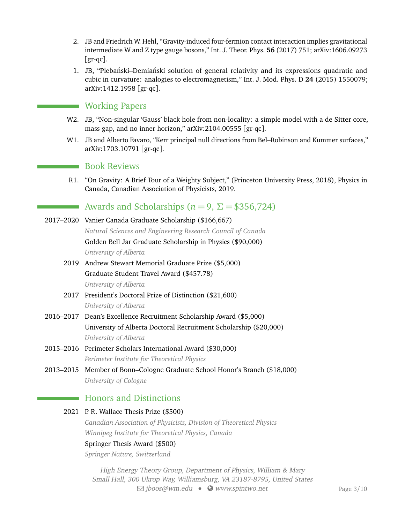- 2. JB and Friedrich W. Hehl, "Gravity-induced four-fermion contact interaction implies gravitational intermediate W and Z type gauge bosons," [Int. J. Theor. Phys.](http://dx.doi.org/10.1007/s10773-016-3216-3) **56** (2017) 751; [arXiv:1606.09273](http://arxiv.org/abs/1606.09273)  $\lceil$ [gr-qc](http://arxiv.org/abs/1606.09273)].
- 1. JB, "Plebański–Demiański solution of general relativity and its expressions quadratic and cubic in curvature: analogies to electromagnetism," [Int. J. Mod. Phys. D](http://dx.doi.org/10.1142/S0218271815500790) **24** (2015) 1550079; [arXiv:1412.1958](http://www.arxiv.org/abs/1412.1958) [gr-qc].

## **Working Papers**

- W2. JB, "Non-singular 'Gauss' black hole from non-locality: a simple model with a de Sitter core, mass gap, and no inner horizon," [arXiv:2104.00555](http://arxiv.org/abs/2104.00555) [gr-qc].
- W1. JB and Alberto Favaro, "Kerr principal null directions from Bel–Robinson and Kummer surfaces," [arXiv:1703.10791](http://arxiv.org/abs/1703.10791) [gr-qc].

#### **Book Reviews**

R1. "On Gravity: A Brief Tour of a Weighty Subject," (Princeton University Press, 2018), [Physics in](https://books.cap.ca/BRMS/PRdb.asp?reviewer=boos) [Canada, Canadian Association of Physicists, 2019.](https://books.cap.ca/BRMS/PRdb.asp?reviewer=boos)

## Awards and Scholarships ( $n = 9$ ,  $\Sigma = $356,724$ )

## 2017–2020 Vanier Canada Graduate Scholarship (\$166,667) *Natural Sciences and Engineering Research Council of Canada* Golden Bell Jar Graduate Scholarship in Physics (\$90,000) *University of Alberta*

- 2019 Andrew Stewart Memorial Graduate Prize (\$5,000) Graduate Student Travel Award (\$457.78) *University of Alberta*
- 2017 President's Doctoral Prize of Distinction (\$21,600) *University of Alberta*
- 2016–2017 Dean's Excellence Recruitment Scholarship Award (\$5,000) University of Alberta Doctoral Recruitment Scholarship (\$20,000) *University of Alberta*
- 2015–2016 Perimeter Scholars International Award (\$30,000) *Perimeter Institute for Theoretical Physics*
- 2013–2015 Member of Bonn–Cologne Graduate School Honor's Branch (\$18,000) *University of Cologne*

## **Example 3** Honors and Distinctions

2021 P. R. Wallace Thesis Prize (\$500) *Canadian Association of Physicists, Division of Theoretical Physics Winnipeg Institute for Theoretical Physics, Canada* Springer Thesis Award (\$500) *Springer Nature, Switzerland*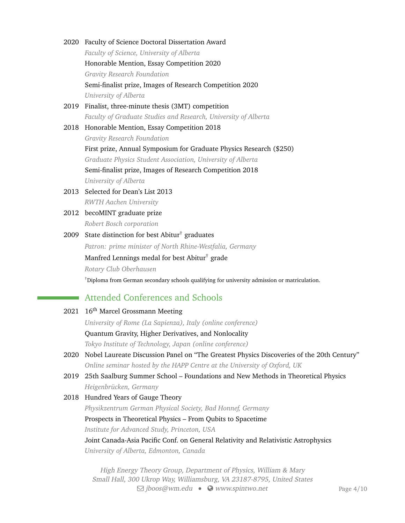- 2020 Faculty of Science Doctoral Dissertation Award *Faculty of Science, University of Alberta* Honorable Mention, Essay Competition 2020 *Gravity Research Foundation* Semi-finalist prize, Images of Research Competition 2020 *University of Alberta*
- 2019 Finalist, three-minute thesis (3MT) competition *Faculty of Graduate Studies and Research, University of Alberta*
- 2018 Honorable Mention, Essay Competition 2018 *Gravity Research Foundation* First prize, Annual Symposium for Graduate Physics Research (\$250) *Graduate Physics Student Association, University of Alberta* Semi-finalist prize, Images of Research Competition 2018 *University of Alberta*
- 2013 Selected for Dean's List 2013 *RWTH Aachen University*
- 2012 becoMINT graduate prize *Robert Bosch corporation*
- 2009 State distinction for best Abitur<sup>†</sup> graduates *Patron: prime minister of North Rhine-Westfalia, Germany* Manfred Lennings medal for best Abitur† grade *Rotary Club Oberhausen* †Diploma from German secondary schools qualifying for university admission or matriculation.

# Attended Conferences and Schools

2021 16<sup>th</sup> Marcel Grossmann Meeting *University of Rome (La Sapienza), Italy (online conference)* Quantum Gravity, Higher Derivatives, and Nonlocality *Tokyo Institute of Technology, Japan (online conference)* 2020 Nobel Laureate Discussion Panel on "The Greatest Physics Discoveries of the 20th Century" *[Online seminar hosted by the HAPP Centre at the University of Oxford, UK](https://www.stx.ox.ac.uk/event/happ-nobel-laureate-discussion-panel)* 2019 25th Saalburg Summer School – Foundations and New Methods in Theoretical Physics *Heigenbrücken, Germany* 2018 Hundred Years of Gauge Theory *Physikzentrum German Physical Society, Bad Honnef, Germany* Prospects in Theoretical Physics – From Qubits to Spacetime *Institute for Advanced Study, Princeton, USA* Joint Canada-Asia Pacific Conf. on General Relativity and Relativistic Astrophysics *University of Alberta, Edmonton, Canada*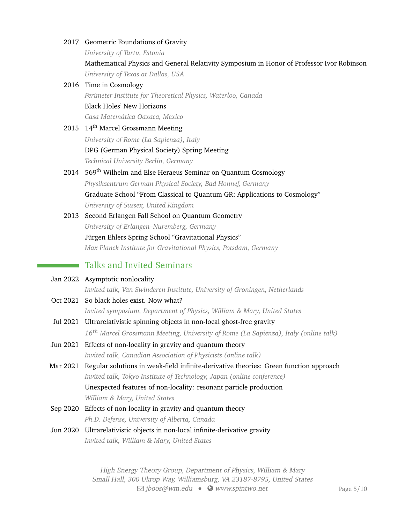#### 2017 Geometric Foundations of Gravity

*University of Tartu, Estonia*

Mathematical Physics and General Relativity Symposium in Honor of Professor Ivor Robinson *University of Texas at Dallas, USA*

## 2016 Time in Cosmology *Perimeter Institute for Theoretical Physics, Waterloo, Canada* Black Holes' New Horizons *Casa Matemática Oaxaca, Mexico*

# 2015 14<sup>th</sup> Marcel Grossmann Meeting *University of Rome (La Sapienza), Italy* DPG (German Physical Society) Spring Meeting *Technical University Berlin, Germany*

- 2014 569<sup>th</sup> Wilhelm and Else Heraeus Seminar on Quantum Cosmology *Physikzentrum German Physical Society, Bad Honnef, Germany* Graduate School "From Classical to Quantum GR: Applications to Cosmology" *University of Sussex, United Kingdom*
- 2013 Second Erlangen Fall School on Quantum Geometry *University of Erlangen–Nuremberg, Germany* Jürgen Ehlers Spring School "Gravitational Physics" *Max Planck Institute for Gravitational Physics, Potsdam, Germany*

## **Talks and Invited Seminars**

| Jan 2022 Asymptotic nonlocality                                                                  |
|--------------------------------------------------------------------------------------------------|
| Invited talk, Van Swinderen Institute, University of Groningen, Netherlands                      |
| Oct 2021 So black holes exist. Now what?                                                         |
| Invited symposium, Department of Physics, William & Mary, United States                          |
| Jul 2021 Ultrarelativistic spinning objects in non-local ghost-free gravity                      |
| 16 <sup>th</sup> Marcel Grossmann Meeting, University of Rome (La Sapienza), Italy (online talk) |
| Jun 2021 Effects of non-locality in gravity and quantum theory                                   |

- *Invited talk, Canadian Association of Physicists (online talk)*
- Mar 2021 Regular solutions in weak-field infinite-derivative theories: Green function approach *Invited talk, Tokyo Institute of Technology, Japan (online conference)* Unexpected features of non-locality: resonant particle production *William & Mary, United States*
- Sep 2020 Effects of non-locality in gravity and quantum theory *Ph.D. Defense, University of Alberta, Canada*
- Jun 2020 Ultrarelativistic objects in non-local infinite-derivative gravity *Invited talk, William & Mary, United States*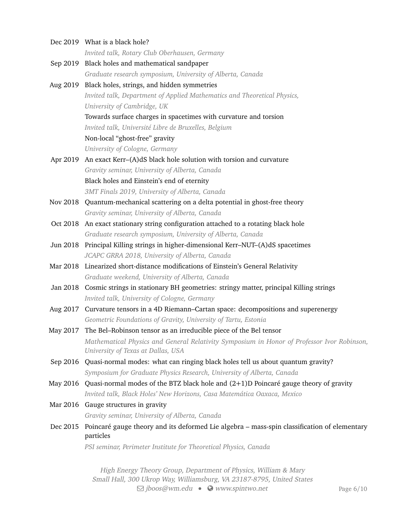- Dec 2019 What is a black hole? *Invited talk, Rotary Club Oberhausen, Germany* Sep 2019 Black holes and mathematical sandpaper *Graduate research symposium, University of Alberta, Canada*
- Aug 2019 Black holes, strings, and hidden symmetries *Invited talk, Department of Applied Mathematics and Theoretical Physics, University of Cambridge, UK* Towards surface charges in spacetimes with curvature and torsion

*Invited talk, Université Libre de Bruxelles, Belgium*

Non-local "ghost-free" gravity

*University of Cologne, Germany*

Apr 2019 An exact Kerr–(A)dS black hole solution with torsion and curvature *Gravity seminar, University of Alberta, Canada* Black holes and Einstein's end of eternity

*3MT Finals 2019, University of Alberta, Canada*

- Nov 2018 Quantum-mechanical scattering on a delta potential in ghost-free theory *Gravity seminar, University of Alberta, Canada*
- Oct 2018 An exact stationary string configuration attached to a rotating black hole *Graduate research symposium, University of Alberta, Canada*
- Jun 2018 Principal Killing strings in higher-dimensional Kerr–NUT–(A)dS spacetimes *JCAPC GRRA 2018, University of Alberta, Canada*
- Mar 2018 Linearized short-distance modifications of Einstein's General Relativity *Graduate weekend, University of Alberta, Canada*
- Jan 2018 Cosmic strings in stationary BH geometries: stringy matter, principal Killing strings *Invited talk, University of Cologne, Germany*
- Aug 2017 Curvature tensors in a 4D Riemann–Cartan space: decompositions and superenergy *Geometric Foundations of Gravity, University of Tartu, Estonia*
- May 2017 The Bel–Robinson tensor as an irreducible piece of the Bel tensor *Mathematical Physics and General Relativity Symposium in Honor of Professor Ivor Robinson, University of Texas at Dallas, USA*
- Sep 2016 Quasi-normal modes: what can ringing black holes tell us about quantum gravity? *Symposium for Graduate Physics Research, University of Alberta, Canada*
- May 2016 Quasi-normal modes of the BTZ black hole and  $(2+1)D$  Poincaré gauge theory of gravity *Invited talk, Black Holes' New Horizons, Casa Matemática Oaxaca, Mexico*
- Mar 2016 Gauge structures in gravity *Gravity seminar, University of Alberta, Canada*
- Dec 2015 Poincaré gauge theory and its deformed Lie algebra mass-spin classification of elementary particles

*PSI seminar, Perimeter Institute for Theoretical Physics, Canada*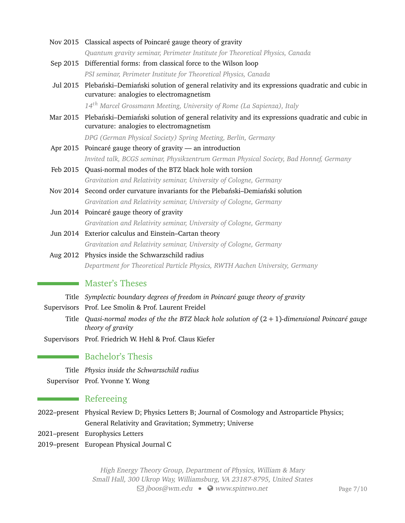- Nov 2015 Classical aspects of Poincaré gauge theory of gravity *Quantum gravity seminar, Perimeter Institute for Theoretical Physics, Canada*
- Sep 2015 Differential forms: from classical force to the Wilson loop *PSI seminar, Perimeter Institute for Theoretical Physics, Canada*
- Jul 2015 Plebański–Demiański solution of general relativity and its expressions quadratic and cubic in curvature: analogies to electromagnetism *14th Marcel Grossmann Meeting, University of Rome (La Sapienza), Italy*
- Mar 2015 Plebański–Demiański solution of general relativity and its expressions quadratic and cubic in curvature: analogies to electromagnetism

*DPG (German Physical Society) Spring Meeting, Berlin, Germany*

- Apr 2015 Poincaré gauge theory of gravity an introduction *Invited talk, BCGS seminar, Physikzentrum German Physical Society, Bad Honnef, Germany*
- Feb 2015 Quasi-normal modes of the BTZ black hole with torsion *Gravitation and Relativity seminar, University of Cologne, Germany*
- Nov 2014 Second order curvature invariants for the Plebański–Demiański solution *Gravitation and Relativity seminar, University of Cologne, Germany*
- Jun 2014 Poincaré gauge theory of gravity *Gravitation and Relativity seminar, University of Cologne, Germany*
- Jun 2014 Exterior calculus and Einstein–Cartan theory *Gravitation and Relativity seminar, University of Cologne, Germany*
- Aug 2012 Physics inside the Schwarzschild radius *Department for Theoretical Particle Physics, RWTH Aachen University, Germany*

# **Master's Theses**

- Title *Symplectic boundary degrees of freedom in Poincaré gauge theory of gravity*
- Supervisors Prof. Lee Smolin & Prof. Laurent Freidel
	- Title *Quasi-normal modes of the the BTZ black hole solution of* (2 + 1)*-dimensional Poincaré gauge theory of gravity*
- Supervisors Prof. Friedrich W. Hehl & Prof. Claus Kiefer

## **Bachelor's Thesis**

Title *Physics inside the Schwarzschild radius*

Supervisor Prof. Yvonne Y. Wong

# Refereeing

2022–present Physical Review D; Physics Letters B; Journal of Cosmology and Astroparticle Physics; General Relativity and Gravitation; Symmetry; Universe

2021–present Europhysics Letters

2019–present European Physical Journal C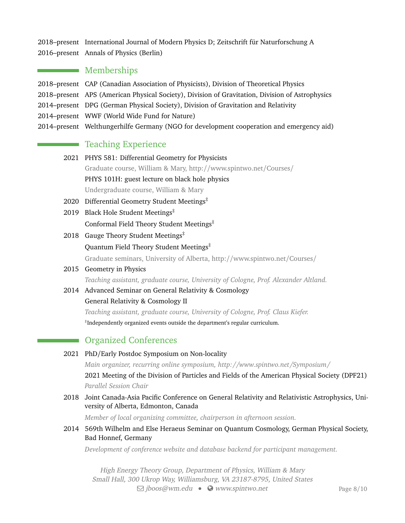2018–present International Journal of Modern Physics D; Zeitschrift für Naturforschung A 2016–present Annals of Physics (Berlin)

## **Memberships**

- 2018–present CAP (Canadian Association of Physicists), Division of Theoretical Physics
- 2018–present APS (American Physical Society), Division of Gravitation, Division of Astrophysics
- 2014–present DPG (German Physical Society), Division of Gravitation and Relativity
- 2014–present WWF (World Wide Fund for Nature)
- 2014–present Welthungerhilfe Germany (NGO for development cooperation and emergency aid)

## Teaching Experience

- 2021 PHYS 581: Differential Geometry for Physicists Graduate course, William & Mary, http://[www.spintwo.net](http://www.spintwo.net/Courses/)/Courses/ PHYS 101H: guest lecture on black hole physics Undergraduate course, William & Mary
- 2020 Differential Geometry Student Meetings‡
- 2019 Black Hole Student Meetings‡ Conformal Field Theory Student Meetings‡
- 2018 Gauge Theory Student Meetings $*$ Quantum Field Theory Student Meetings‡ Graduate seminars, University of Alberta, http://[www.spintwo.net](http://www.spintwo.net/Courses/)/Courses/
- 2015 Geometry in Physics *Teaching assistant, graduate course, University of Cologne, Prof. Alexander Altland.*
- 2014 Advanced Seminar on General Relativity & Cosmology General Relativity & Cosmology II *Teaching assistant, graduate course, University of Cologne, Prof. Claus Kiefer.* ‡ Independently organized events outside the department's regular curriculum.

# **Conferences**

2021 PhD/Early Postdoc Symposium on Non-locality

*Main organizer, recurring online symposium, http://[www.spintwo.net](http://www.spintwo.net/Symposium/)/Symposium/*

2021 Meeting of the Division of Particles and Fields of the American Physical Society (DPF21) *Parallel Session Chair*

2018 Joint Canada-Asia Pacific Conference on General Relativity and Relativistic Astrophysics, University of Alberta, Edmonton, Canada

*Member of local organizing committee, chairperson in afternoon session.*

2014 569th Wilhelm and Else Heraeus Seminar on Quantum Cosmology, German Physical Society, Bad Honnef, Germany

*Development of conference website and database backend for participant management.*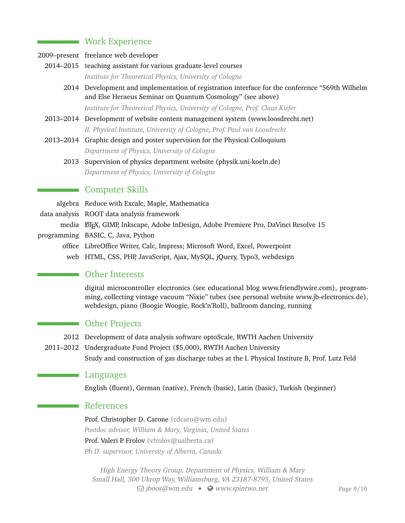## **Work Experience**

- 2009–present freelance web developer
	- 2014–2015 teaching assistant for various graduate-level courses *Institute for Theoretical Physics, University of Cologne*
		- 2014 Development and implementation of registration interface for the conference "569th Wilhelm and Else Heraeus Seminar on Quantum Cosmology" (see above)

*Institute for Theoretical Physics, University of Cologne, Prof. Claus Kiefer*

- 2013–2014 Development of website content management system [\(www.loosdrecht.net\)](http://www.loosdrecht.net/) *II. Physical Institute, University of Cologne, Prof. Paul van Loosdrecht*
- 2013–2014 Graphic design and poster supervision for the Physical Colloquium *Department of Physics, University of Cologne*
	- 2013 Supervision of physics department website [\(physik.uni-koeln.de\)](http://physik.uni-koeln.de/71.html?&L=1) *Department of Physics, University of Cologne*

## **Computer Skills**

algebra Reduce with Excalc, Maple, Mathematica

data analysis ROOT data analysis framework

 $\mathcal{L}^{\text{max}}_{\text{max}}$ 

media ET<sub>E</sub>X, GIMP, Inkscape, Adobe InDesign, Adobe Premiere Pro, DaVinci Resolve 15 programming BASIC, C, Java, Python office LibreOffice Writer, Calc, Impress; Microsoft Word, Excel, Powerpoint web HTML, CSS, PHP, JavaScript, Ajax, MySQL, jQuery, Typo3, webdesign

## **Other Interests**

digital microcontroller electronics (see educational blog [www.friendlywire.com\)](http://www.friendlywire.com/), programming, collecting vintage vacuum "Nixie" tubes (see personal website [www.jb-electronics.de\)](http://www.jb-electronics.de/?lang=en), webdesign, piano (Boogie Woogie, Rock'n'Roll), ballroom dancing, running

## Other Projects

- 2012 Development of data analysis software optoScale, RWTH Aachen University
- 2011–2012 Undergraduate Fund Project (\$5,000), RWTH Aachen University Study and construction of gas discharge tubes at the I. Physical Institute B, Prof. Lutz Feld

## Languages

English (fluent), German (native), French (basic), Latin (basic), Turkish (beginner)

#### References

Prof. Christopher D. Carone [\(cdcaro@wm.edu\)](mailto:cdcaro@wm.edu) *Postdoc advisor, William & Mary, Virginia, United States* Prof. Valeri P. Frolov [\(vfrolov@ualberta.ca\)](mailto:vfrolov@ualberta.ca) *Ph.D. supervisor, University of Alberta, Canada*